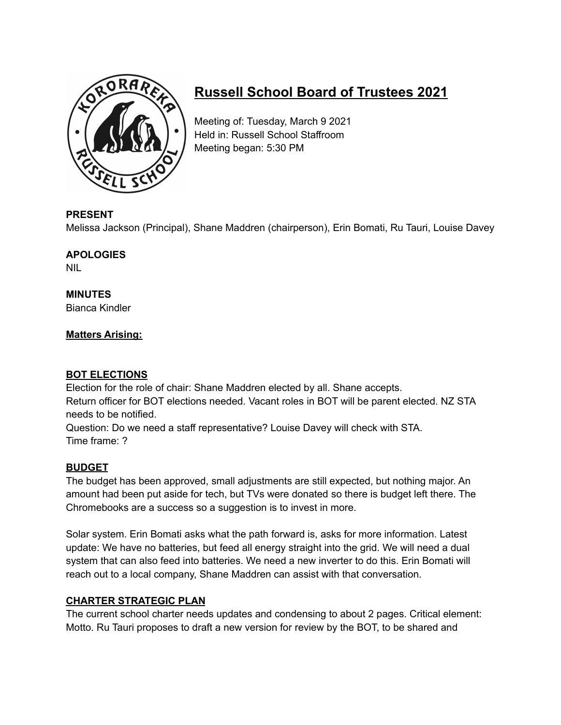

# **Russell School Board of Trustees 2021**

Meeting of: Tuesday, March 9 2021 Held in: Russell School Staffroom Meeting began: 5:30 PM

#### **PRESENT**

Melissa Jackson (Principal), Shane Maddren (chairperson), Erin Bomati, Ru Tauri, Louise Davey

## **APOLOGIES**

NIL

#### **MINUTES** Bianca Kindler

## **Matters Arising:**

## **BOT ELECTIONS**

Election for the role of chair: Shane Maddren elected by all. Shane accepts. Return officer for BOT elections needed. Vacant roles in BOT will be parent elected. NZ STA needs to be notified.

Question: Do we need a staff representative? Louise Davey will check with STA. Time frame: ?

#### **BUDGET**

The budget has been approved, small adjustments are still expected, but nothing major. An amount had been put aside for tech, but TVs were donated so there is budget left there. The Chromebooks are a success so a suggestion is to invest in more.

Solar system. Erin Bomati asks what the path forward is, asks for more information. Latest update: We have no batteries, but feed all energy straight into the grid. We will need a dual system that can also feed into batteries. We need a new inverter to do this. Erin Bomati will reach out to a local company, Shane Maddren can assist with that conversation.

## **CHARTER STRATEGIC PLAN**

The current school charter needs updates and condensing to about 2 pages. Critical element: Motto. Ru Tauri proposes to draft a new version for review by the BOT, to be shared and